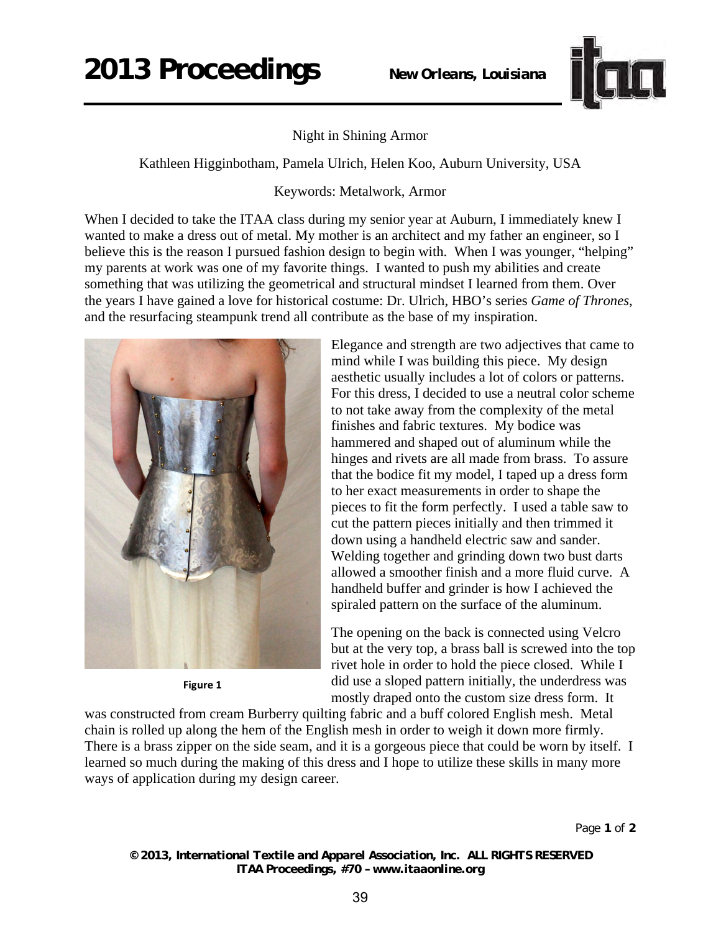## **2013 Proceedings** *New Orleans, Louisiana*



Night in Shining Armor

Kathleen Higginbotham, Pamela Ulrich, Helen Koo, Auburn University, USA

Keywords: Metalwork, Armor

When I decided to take the ITAA class during my senior year at Auburn, I immediately knew I wanted to make a dress out of metal. My mother is an architect and my father an engineer, so I believe this is the reason I pursued fashion design to begin with. When I was younger, "helping" my parents at work was one of my favorite things. I wanted to push my abilities and create something that was utilizing the geometrical and structural mindset I learned from them. Over the years I have gained a love for historical costume: Dr. Ulrich, HBO's series *Game of Thrones*, and the resurfacing steampunk trend all contribute as the base of my inspiration.



**Figure 1** 

Elegance and strength are two adjectives that came to mind while I was building this piece. My design aesthetic usually includes a lot of colors or patterns. For this dress, I decided to use a neutral color scheme to not take away from the complexity of the metal finishes and fabric textures. My bodice was hammered and shaped out of aluminum while the hinges and rivets are all made from brass. To assure that the bodice fit my model, I taped up a dress form to her exact measurements in order to shape the pieces to fit the form perfectly. I used a table saw to cut the pattern pieces initially and then trimmed it down using a handheld electric saw and sander. Welding together and grinding down two bust darts allowed a smoother finish and a more fluid curve. A handheld buffer and grinder is how I achieved the spiraled pattern on the surface of the aluminum.

The opening on the back is connected using Velcro but at the very top, a brass ball is screwed into the top rivet hole in order to hold the piece closed. While I did use a sloped pattern initially, the underdress was mostly draped onto the custom size dress form. It

was constructed from cream Burberry quilting fabric and a buff colored English mesh. Metal chain is rolled up along the hem of the English mesh in order to weigh it down more firmly. There is a brass zipper on the side seam, and it is a gorgeous piece that could be worn by itself. I learned so much during the making of this dress and I hope to utilize these skills in many more ways of application during my design career.

*© 2013, International Textile and Apparel Association, Inc. ALL RIGHTS RESERVED ITAA Proceedings, #70 – www.itaaonline.org*